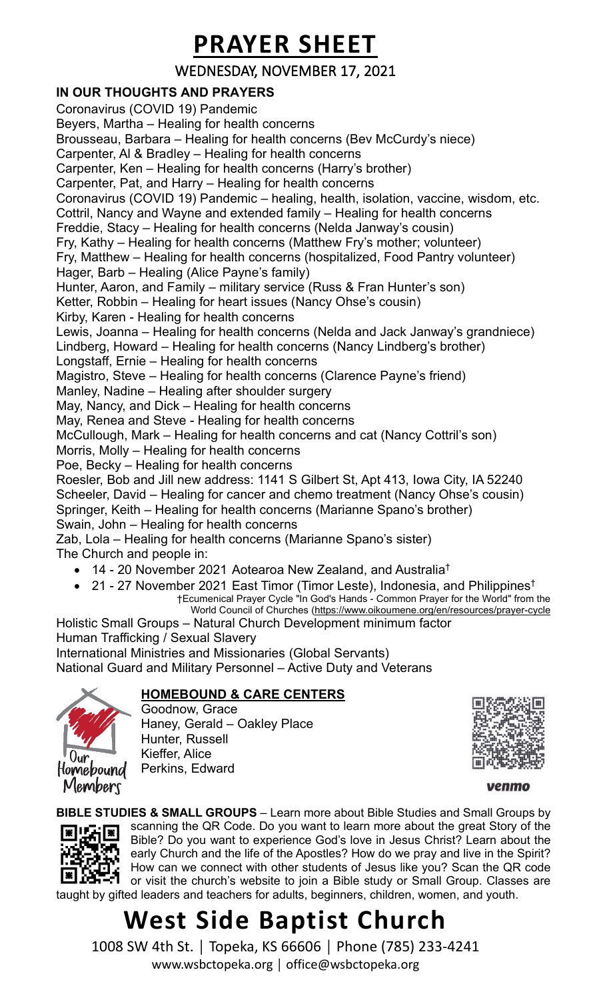### **PRAYER SHEET**

WEDNESDAY, NOVEMBER 17, 2021

#### **IN OUR THOUGHTS AND PRAYERS**

Coronavirus (COVID 19) Pandemic Beyers, Martha – Healing for health concerns Brousseau, Barbara – Healing for health concerns (Bev McCurdy's niece) Carpenter, Al & Bradley – Healing for health concerns Carpenter, Ken – Healing for health concerns (Harry's brother) Carpenter, Pat, and Harry – Healing for health concerns Coronavirus (COVID 19) Pandemic – healing, health, isolation, vaccine, wisdom, etc. Cottril, Nancy and Wayne and extended family – Healing for health concerns Freddie, Stacy – Healing for health concerns (Nelda Janway's cousin) Fry, Kathy – Healing for health concerns (Matthew Fry's mother; volunteer) Fry, Matthew – Healing for health concerns (hospitalized, Food Pantry volunteer) Hager, Barb – Healing (Alice Payne's family) Hunter, Aaron, and Family – military service (Russ & Fran Hunter's son) Ketter, Robbin – Healing for heart issues (Nancy Ohse's cousin) Kirby, Karen - Healing for health concerns Lewis, Joanna – Healing for health concerns (Nelda and Jack Janway's grandniece) Lindberg, Howard – Healing for health concerns (Nancy Lindberg's brother) Longstaff, Ernie – Healing for health concerns Magistro, Steve – Healing for health concerns (Clarence Payne's friend) Manley, Nadine – Healing after shoulder surgery May, Nancy, and Dick – Healing for health concerns May, Renea and Steve - Healing for health concerns McCullough, Mark – Healing for health concerns and cat (Nancy Cottril's son) Morris, Molly – Healing for health concerns Poe, Becky – Healing for health concerns Roesler, Bob and Jill new address: 1141 S Gilbert St, Apt 413, Iowa City, IA 52240 Scheeler, David – Healing for cancer and chemo treatment (Nancy Ohse's cousin) Springer, Keith – Healing for health concerns (Marianne Spano's brother) Swain, John – Healing for health concerns Zab, Lola – Healing for health concerns (Marianne Spano's sister) The Church and people in:

- 14 20 November 2021 Aotearoa New Zealand, and Australia†
- 21 27 November 2021 East Timor (Timor Leste), Indonesia, and Philippines† †Ecumenical Prayer Cycle "In God's Hands - Common Prayer for the World" from the World Council of Churches [\(https://www.oikoumene.org/en/resources/prayer-cycle](https://www.oikoumene.org/en/resources/prayer-cycle)

Holistic Small Groups – Natural Church Development minimum factor Human Trafficking / Sexual Slavery International Ministries and Missionaries (Global Servants) National Guard and Military Personnel – Active Duty and Veterans

#### **HOMEBOUND & CARE CENTERS**



Goodnow, Grace Haney, Gerald – Oakley Place Hunter, Russell Kieffer, Alice Perkins, Edward



**BIBLE STUDIES & SMALL GROUPS** – Learn more about Bible Studies and Small Groups by



scanning the QR Code. Do you want to learn more about the great Story of the Bible? Do you want to experience God's love in Jesus Christ? Learn about the early Church and the life of the Apostles? How do we pray and live in the Spirit? How can we connect with other students of Jesus like you? Scan the QR code or visit the church's website to join a Bible study or Small Group. Classes are taught by gifted leaders and teachers for adults, beginners, children, women, and youth.

### **West Side Baptist Church**

1008 SW 4th St. │ Topeka, KS 66606 │ Phone (785) 233-4241 www.wsbctopeka.org │ office@wsbctopeka.org